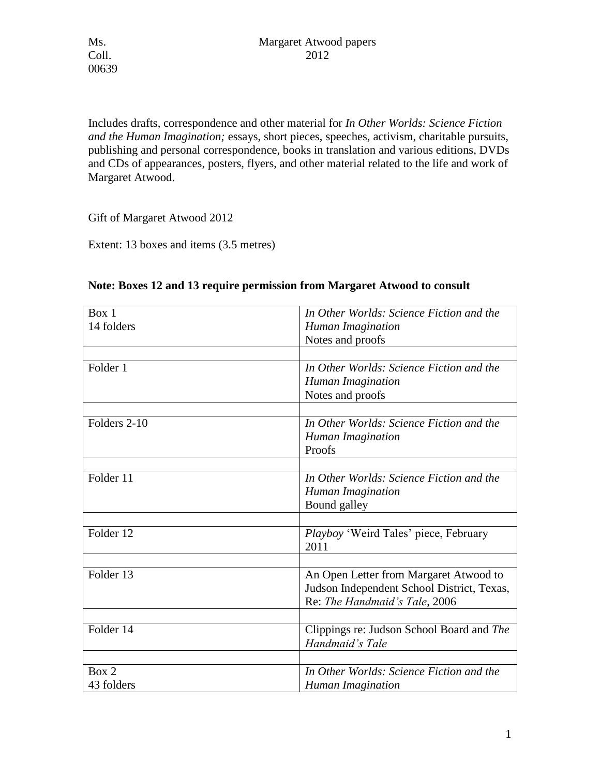Includes drafts, correspondence and other material for *In Other Worlds: Science Fiction and the Human Imagination;* essays, short pieces, speeches, activism, charitable pursuits, publishing and personal correspondence, books in translation and various editions, DVDs and CDs of appearances, posters, flyers, and other material related to the life and work of Margaret Atwood.

Gift of Margaret Atwood 2012

Extent: 13 boxes and items (3.5 metres)

| 14 folders<br>Human Imagination<br>Notes and proofs<br>In Other Worlds: Science Fiction and the<br>Folder 1<br>Human Imagination<br>Notes and proofs<br>Folders 2-10<br>In Other Worlds: Science Fiction and the<br>Human Imagination<br>Proofs<br>Folder 11<br>In Other Worlds: Science Fiction and the<br>Human Imagination<br>Bound galley<br>Folder 12<br>Playboy 'Weird Tales' piece, February<br>2011<br>Folder 13<br>An Open Letter from Margaret Atwood to<br>Judson Independent School District, Texas,<br>Re: The Handmaid's Tale, 2006<br>Folder 14<br>Clippings re: Judson School Board and The<br>Handmaid's Tale<br>Box 2<br>In Other Worlds: Science Fiction and the<br>43 folders<br>Human Imagination | Box 1 | In Other Worlds: Science Fiction and the |
|------------------------------------------------------------------------------------------------------------------------------------------------------------------------------------------------------------------------------------------------------------------------------------------------------------------------------------------------------------------------------------------------------------------------------------------------------------------------------------------------------------------------------------------------------------------------------------------------------------------------------------------------------------------------------------------------------------------------|-------|------------------------------------------|
|                                                                                                                                                                                                                                                                                                                                                                                                                                                                                                                                                                                                                                                                                                                        |       |                                          |
|                                                                                                                                                                                                                                                                                                                                                                                                                                                                                                                                                                                                                                                                                                                        |       |                                          |
|                                                                                                                                                                                                                                                                                                                                                                                                                                                                                                                                                                                                                                                                                                                        |       |                                          |
|                                                                                                                                                                                                                                                                                                                                                                                                                                                                                                                                                                                                                                                                                                                        |       |                                          |
|                                                                                                                                                                                                                                                                                                                                                                                                                                                                                                                                                                                                                                                                                                                        |       |                                          |
|                                                                                                                                                                                                                                                                                                                                                                                                                                                                                                                                                                                                                                                                                                                        |       |                                          |
|                                                                                                                                                                                                                                                                                                                                                                                                                                                                                                                                                                                                                                                                                                                        |       |                                          |
|                                                                                                                                                                                                                                                                                                                                                                                                                                                                                                                                                                                                                                                                                                                        |       |                                          |
|                                                                                                                                                                                                                                                                                                                                                                                                                                                                                                                                                                                                                                                                                                                        |       |                                          |
|                                                                                                                                                                                                                                                                                                                                                                                                                                                                                                                                                                                                                                                                                                                        |       |                                          |
|                                                                                                                                                                                                                                                                                                                                                                                                                                                                                                                                                                                                                                                                                                                        |       |                                          |
|                                                                                                                                                                                                                                                                                                                                                                                                                                                                                                                                                                                                                                                                                                                        |       |                                          |
|                                                                                                                                                                                                                                                                                                                                                                                                                                                                                                                                                                                                                                                                                                                        |       |                                          |
|                                                                                                                                                                                                                                                                                                                                                                                                                                                                                                                                                                                                                                                                                                                        |       |                                          |
|                                                                                                                                                                                                                                                                                                                                                                                                                                                                                                                                                                                                                                                                                                                        |       |                                          |
|                                                                                                                                                                                                                                                                                                                                                                                                                                                                                                                                                                                                                                                                                                                        |       |                                          |
|                                                                                                                                                                                                                                                                                                                                                                                                                                                                                                                                                                                                                                                                                                                        |       |                                          |
|                                                                                                                                                                                                                                                                                                                                                                                                                                                                                                                                                                                                                                                                                                                        |       |                                          |
|                                                                                                                                                                                                                                                                                                                                                                                                                                                                                                                                                                                                                                                                                                                        |       |                                          |
|                                                                                                                                                                                                                                                                                                                                                                                                                                                                                                                                                                                                                                                                                                                        |       |                                          |
|                                                                                                                                                                                                                                                                                                                                                                                                                                                                                                                                                                                                                                                                                                                        |       |                                          |
|                                                                                                                                                                                                                                                                                                                                                                                                                                                                                                                                                                                                                                                                                                                        |       |                                          |
|                                                                                                                                                                                                                                                                                                                                                                                                                                                                                                                                                                                                                                                                                                                        |       |                                          |
|                                                                                                                                                                                                                                                                                                                                                                                                                                                                                                                                                                                                                                                                                                                        |       |                                          |
|                                                                                                                                                                                                                                                                                                                                                                                                                                                                                                                                                                                                                                                                                                                        |       |                                          |
|                                                                                                                                                                                                                                                                                                                                                                                                                                                                                                                                                                                                                                                                                                                        |       |                                          |

## **Note: Boxes 12 and 13 require permission from Margaret Atwood to consult**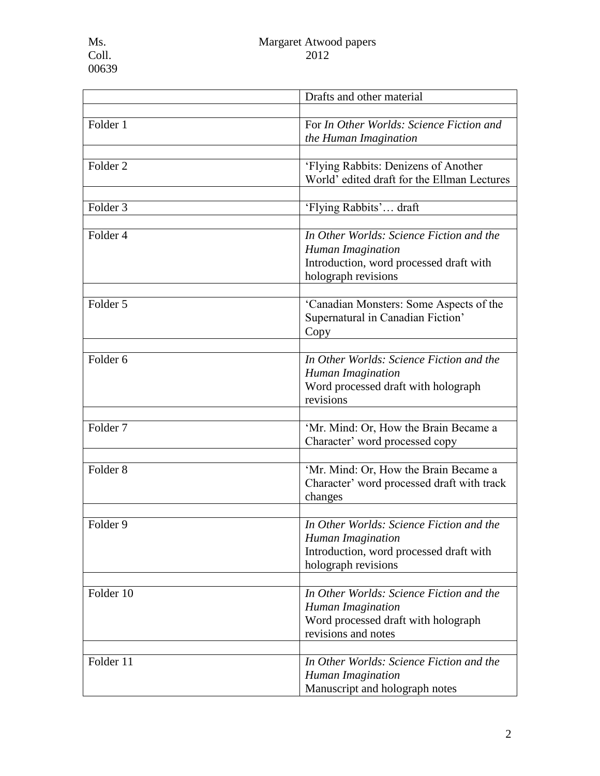|                     | Drafts and other material                                                                                                       |
|---------------------|---------------------------------------------------------------------------------------------------------------------------------|
|                     |                                                                                                                                 |
| Folder 1            | For In Other Worlds: Science Fiction and<br>the Human Imagination                                                               |
|                     |                                                                                                                                 |
| Folder <sub>2</sub> | 'Flying Rabbits: Denizens of Another<br>World' edited draft for the Ellman Lectures                                             |
| Folder <sub>3</sub> | 'Flying Rabbits' draft                                                                                                          |
| Folder 4            | In Other Worlds: Science Fiction and the<br>Human Imagination<br>Introduction, word processed draft with<br>holograph revisions |
| Folder 5            | 'Canadian Monsters: Some Aspects of the<br>Supernatural in Canadian Fiction'<br>Copy                                            |
| Folder <sub>6</sub> | In Other Worlds: Science Fiction and the<br>Human Imagination<br>Word processed draft with holograph<br>revisions               |
|                     |                                                                                                                                 |
| Folder <sub>7</sub> | 'Mr. Mind: Or, How the Brain Became a<br>Character' word processed copy                                                         |
| Folder <sub>8</sub> | 'Mr. Mind: Or, How the Brain Became a<br>Character' word processed draft with track<br>changes                                  |
| Folder 9            | In Other Worlds: Science Fiction and the<br>Human Imagination<br>Introduction, word processed draft with<br>holograph revisions |
| Folder 10           | In Other Worlds: Science Fiction and the<br>Human Imagination<br>Word processed draft with holograph<br>revisions and notes     |
|                     |                                                                                                                                 |
| Folder 11           | In Other Worlds: Science Fiction and the<br>Human Imagination<br>Manuscript and holograph notes                                 |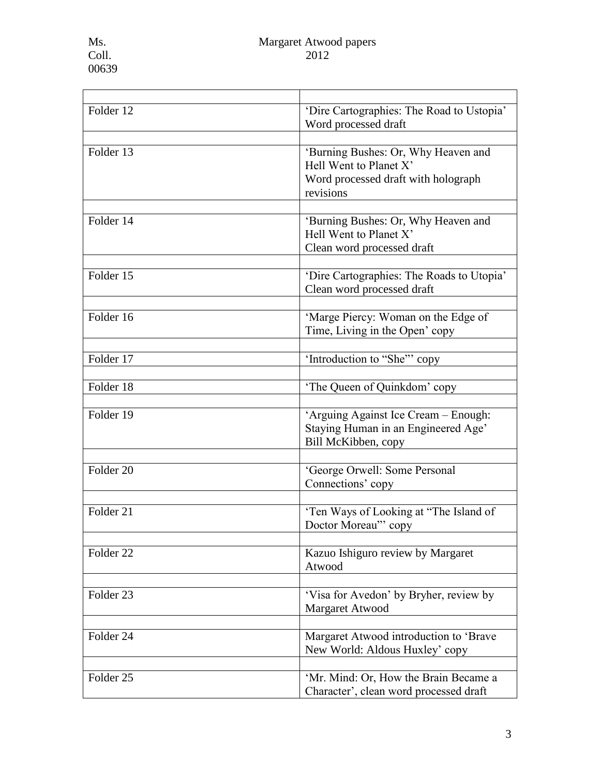| Folder 12            | 'Dire Cartographies: The Road to Ustopia'<br>Word processed draft                                                 |
|----------------------|-------------------------------------------------------------------------------------------------------------------|
| Folder 13            | 'Burning Bushes: Or, Why Heaven and<br>Hell Went to Planet X'<br>Word processed draft with holograph<br>revisions |
| Folder 14            | 'Burning Bushes: Or, Why Heaven and<br>Hell Went to Planet X'<br>Clean word processed draft                       |
| Folder 15            | 'Dire Cartographies: The Roads to Utopia'<br>Clean word processed draft                                           |
| Folder 16            | 'Marge Piercy: Woman on the Edge of<br>Time, Living in the Open' copy                                             |
| Folder 17            | 'Introduction to "She"" copy                                                                                      |
| Folder 18            | 'The Queen of Quinkdom' copy                                                                                      |
| Folder 19            | 'Arguing Against Ice Cream - Enough:<br>Staying Human in an Engineered Age'<br>Bill McKibben, copy                |
| Folder 20            | 'George Orwell: Some Personal<br>Connections' copy                                                                |
| Folder 21            | 'Ten Ways of Looking at "The Island of<br>Doctor Moreau" copy                                                     |
| Folder <sub>22</sub> | Kazuo Ishiguro review by Margaret<br>Atwood                                                                       |
| Folder <sub>23</sub> | 'Visa for Avedon' by Bryher, review by<br>Margaret Atwood                                                         |
| Folder 24            | Margaret Atwood introduction to 'Brave<br>New World: Aldous Huxley' copy                                          |
| Folder <sub>25</sub> | 'Mr. Mind: Or, How the Brain Became a<br>Character', clean word processed draft                                   |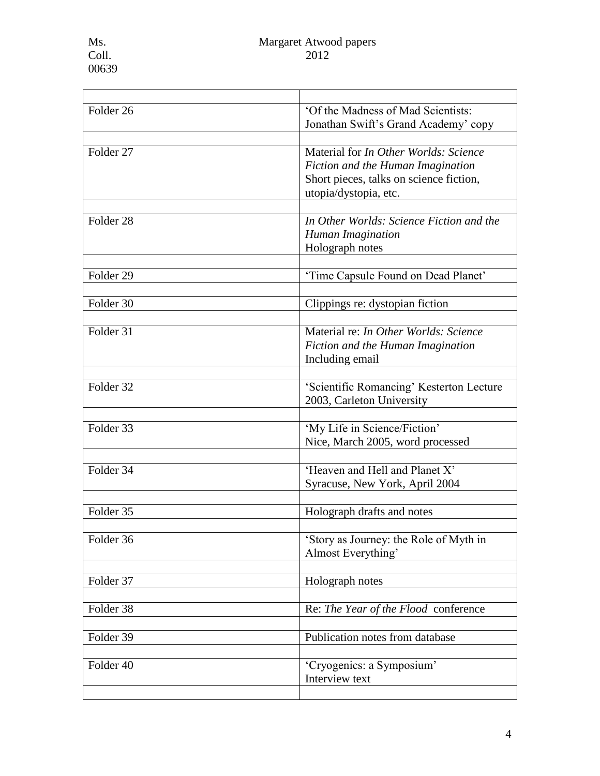<u> 1989 - Johann Barn, mars eta bainar eta baina eta baina eta baina eta baina eta baina eta baina eta baina e</u>

| Folder <sub>26</sub> | 'Of the Madness of Mad Scientists:<br>Jonathan Swift's Grand Academy' copy                                                                     |
|----------------------|------------------------------------------------------------------------------------------------------------------------------------------------|
| Folder <sub>27</sub> | Material for In Other Worlds: Science<br>Fiction and the Human Imagination<br>Short pieces, talks on science fiction,<br>utopia/dystopia, etc. |
| Folder <sub>28</sub> | In Other Worlds: Science Fiction and the<br>Human Imagination<br>Holograph notes                                                               |
| Folder 29            | 'Time Capsule Found on Dead Planet'                                                                                                            |
| Folder 30            | Clippings re: dystopian fiction                                                                                                                |
| Folder 31            | Material re: In Other Worlds: Science<br>Fiction and the Human Imagination<br>Including email                                                  |
| Folder 32            | 'Scientific Romancing' Kesterton Lecture<br>2003, Carleton University                                                                          |
| Folder 33            | 'My Life in Science/Fiction'<br>Nice, March 2005, word processed                                                                               |
| Folder 34            | 'Heaven and Hell and Planet X'<br>Syracuse, New York, April 2004                                                                               |
| Folder 35            | Holograph drafts and notes                                                                                                                     |
| Folder 36            | 'Story as Journey: the Role of Myth in<br>Almost Everything'                                                                                   |
| Folder 37            | Holograph notes                                                                                                                                |
| Folder 38            | Re: The Year of the Flood conference                                                                                                           |
| Folder 39            | Publication notes from database                                                                                                                |
| Folder 40            | 'Cryogenics: a Symposium'<br>Interview text                                                                                                    |
|                      |                                                                                                                                                |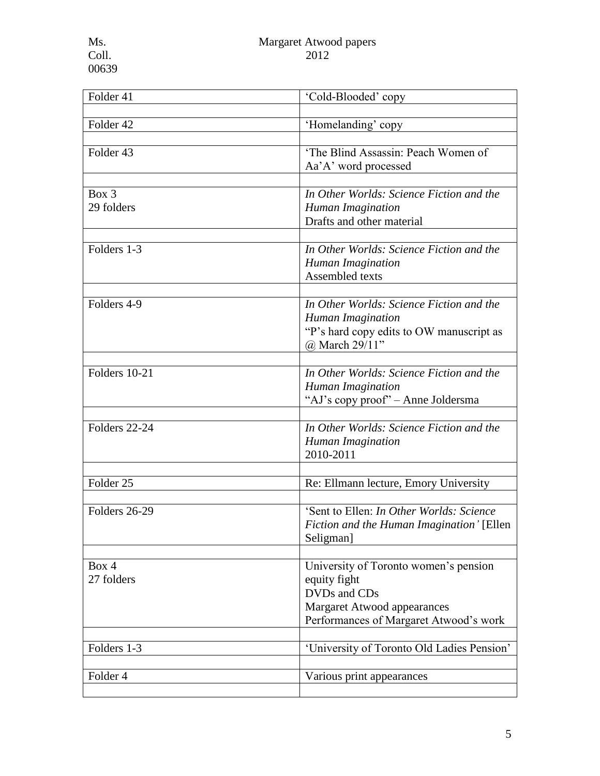| 'Cold-Blooded' copy                                                                                                                                   |
|-------------------------------------------------------------------------------------------------------------------------------------------------------|
|                                                                                                                                                       |
| 'Homelanding' copy                                                                                                                                    |
| 'The Blind Assassin: Peach Women of<br>Aa'A' word processed                                                                                           |
| In Other Worlds: Science Fiction and the<br>Human Imagination<br>Drafts and other material                                                            |
| In Other Worlds: Science Fiction and the<br>Human Imagination<br>Assembled texts                                                                      |
| In Other Worlds: Science Fiction and the<br>Human Imagination<br>"P's hard copy edits to OW manuscript as<br>@ March 29/11"                           |
| In Other Worlds: Science Fiction and the<br>Human Imagination<br>"AJ's copy proof" – Anne Joldersma                                                   |
| In Other Worlds: Science Fiction and the<br>Human Imagination<br>2010-2011                                                                            |
| Re: Ellmann lecture, Emory University                                                                                                                 |
| 'Sent to Ellen: In Other Worlds: Science<br>Fiction and the Human Imagination' [Ellen<br>Seligman]                                                    |
| University of Toronto women's pension<br>equity fight<br>DVDs and CDs<br><b>Margaret Atwood appearances</b><br>Performances of Margaret Atwood's work |
| 'University of Toronto Old Ladies Pension'                                                                                                            |
| Various print appearances                                                                                                                             |
|                                                                                                                                                       |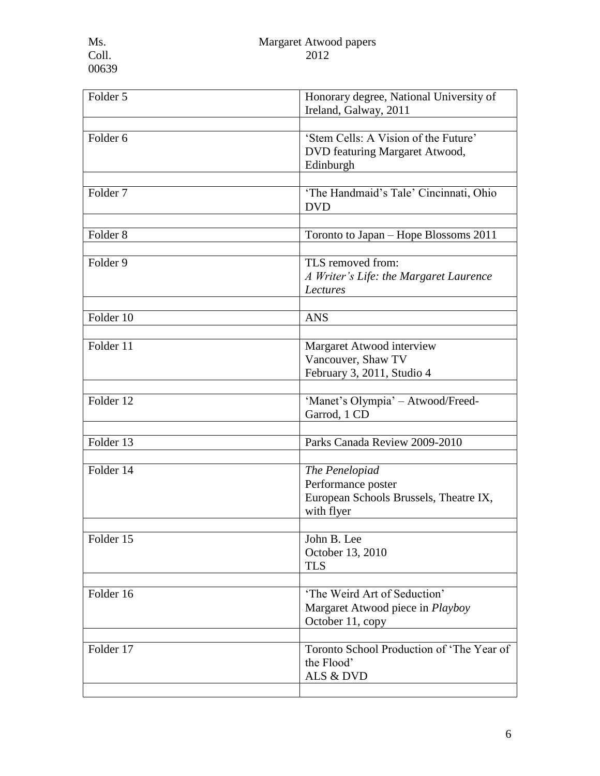| Folder 5            | Honorary degree, National University of<br>Ireland, Galway, 2011                             |
|---------------------|----------------------------------------------------------------------------------------------|
|                     |                                                                                              |
| Folder <sub>6</sub> | 'Stem Cells: A Vision of the Future'<br>DVD featuring Margaret Atwood,<br>Edinburgh          |
| Folder <sub>7</sub> | 'The Handmaid's Tale' Cincinnati, Ohio<br><b>DVD</b>                                         |
| Folder <sub>8</sub> | Toronto to Japan – Hope Blossoms 2011                                                        |
| Folder 9            | TLS removed from:<br>A Writer's Life: the Margaret Laurence<br>Lectures                      |
| Folder 10           | <b>ANS</b>                                                                                   |
| Folder 11           | Margaret Atwood interview<br>Vancouver, Shaw TV<br>February 3, 2011, Studio 4                |
| Folder 12           | 'Manet's Olympia' - Atwood/Freed-<br>Garrod, 1 CD                                            |
|                     |                                                                                              |
| Folder 13           | Parks Canada Review 2009-2010                                                                |
| Folder 14           | The Penelopiad<br>Performance poster<br>European Schools Brussels, Theatre IX,<br>with flyer |
| Folder 15           | John B. Lee<br>October 13, 2010<br><b>TLS</b>                                                |
|                     |                                                                                              |
| Folder 16           | 'The Weird Art of Seduction'<br>Margaret Atwood piece in <i>Playboy</i><br>October 11, copy  |
| Folder 17           | Toronto School Production of 'The Year of<br>the Flood'<br>ALS & DVD                         |
|                     |                                                                                              |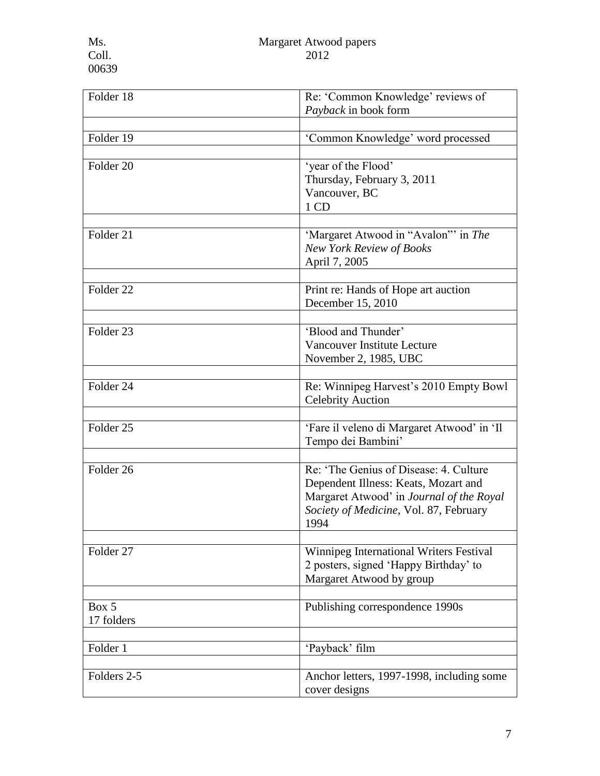| Folder 18            | Re: 'Common Knowledge' reviews of<br>Payback in book form                                                                                                                   |
|----------------------|-----------------------------------------------------------------------------------------------------------------------------------------------------------------------------|
|                      |                                                                                                                                                                             |
| Folder 19            | 'Common Knowledge' word processed                                                                                                                                           |
| Folder <sub>20</sub> | 'year of the Flood'<br>Thursday, February 3, 2011<br>Vancouver, BC<br>1 CD                                                                                                  |
| Folder 21            | 'Margaret Atwood in "Avalon" in The<br>New York Review of Books<br>April 7, 2005                                                                                            |
| Folder <sub>22</sub> | Print re: Hands of Hope art auction<br>December 15, 2010                                                                                                                    |
| Folder <sub>23</sub> | 'Blood and Thunder'<br>Vancouver Institute Lecture<br>November 2, 1985, UBC                                                                                                 |
| Folder 24            | Re: Winnipeg Harvest's 2010 Empty Bowl<br><b>Celebrity Auction</b>                                                                                                          |
| Folder <sub>25</sub> | 'Fare il veleno di Margaret Atwood' in 'Il<br>Tempo dei Bambini'                                                                                                            |
| Folder <sub>26</sub> | Re: The Genius of Disease: 4. Culture<br>Dependent Illness: Keats, Mozart and<br>Margaret Atwood' in Journal of the Royal<br>Society of Medicine, Vol. 87, February<br>1994 |
| Folder 27            | Winnipeg International Writers Festival<br>2 posters, signed 'Happy Birthday' to<br>Margaret Atwood by group                                                                |
| Box 5<br>17 folders  | Publishing correspondence 1990s                                                                                                                                             |
| Folder 1             | 'Payback' film                                                                                                                                                              |
| Folders 2-5          | Anchor letters, 1997-1998, including some<br>cover designs                                                                                                                  |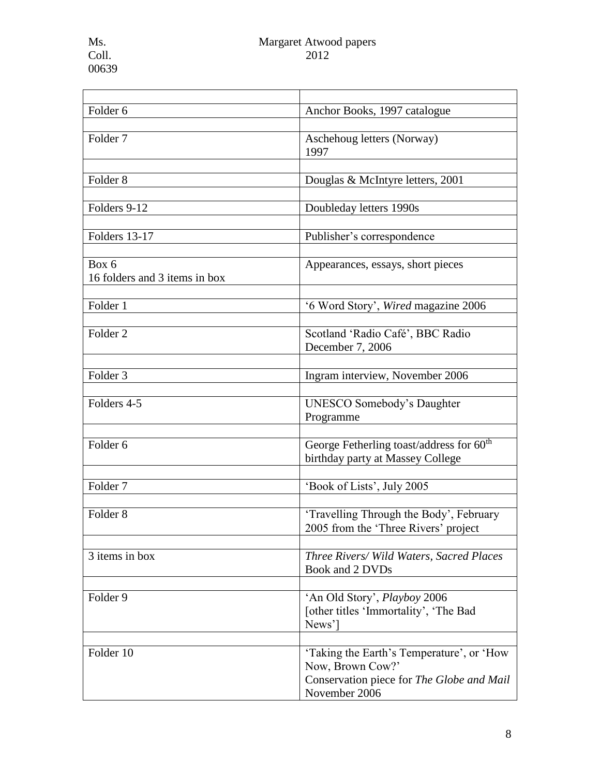| Folder <sub>6</sub>           | Anchor Books, 1997 catalogue                         |
|-------------------------------|------------------------------------------------------|
|                               |                                                      |
| Folder <sub>7</sub>           | Aschehoug letters (Norway)                           |
|                               | 1997                                                 |
|                               |                                                      |
| Folder <sub>8</sub>           | Douglas & McIntyre letters, 2001                     |
|                               |                                                      |
| Folders 9-12                  | Doubleday letters 1990s                              |
|                               |                                                      |
|                               |                                                      |
| Folders 13-17                 | Publisher's correspondence                           |
|                               |                                                      |
| Box 6                         | Appearances, essays, short pieces                    |
| 16 folders and 3 items in box |                                                      |
|                               |                                                      |
| Folder 1                      | '6 Word Story', Wired magazine 2006                  |
|                               |                                                      |
| Folder <sub>2</sub>           |                                                      |
|                               | Scotland 'Radio Café', BBC Radio                     |
|                               | December 7, 2006                                     |
|                               |                                                      |
| Folder <sub>3</sub>           | Ingram interview, November 2006                      |
|                               |                                                      |
| Folders 4-5                   | <b>UNESCO Somebody's Daughter</b>                    |
|                               | Programme                                            |
|                               |                                                      |
| Folder <sub>6</sub>           | George Fetherling toast/address for 60 <sup>th</sup> |
|                               |                                                      |
|                               | birthday party at Massey College                     |
|                               |                                                      |
| Folder <sub>7</sub>           | 'Book of Lists', July 2005                           |
|                               |                                                      |
| Folder <sub>8</sub>           | 'Travelling Through the Body', February              |
|                               | 2005 from the 'Three Rivers' project                 |
|                               |                                                      |
| 3 items in box                | Three Rivers/ Wild Waters, Sacred Places             |
|                               | Book and 2 DVDs                                      |
|                               |                                                      |
|                               |                                                      |
| Folder 9                      | 'An Old Story', Playboy 2006                         |
|                               | [other titles 'Immortality', 'The Bad                |
|                               | News'                                                |
|                               |                                                      |
| Folder 10                     | 'Taking the Earth's Temperature', or 'How            |
|                               | Now, Brown Cow?'                                     |
|                               | Conservation piece for The Globe and Mail            |
|                               | November 2006                                        |
|                               |                                                      |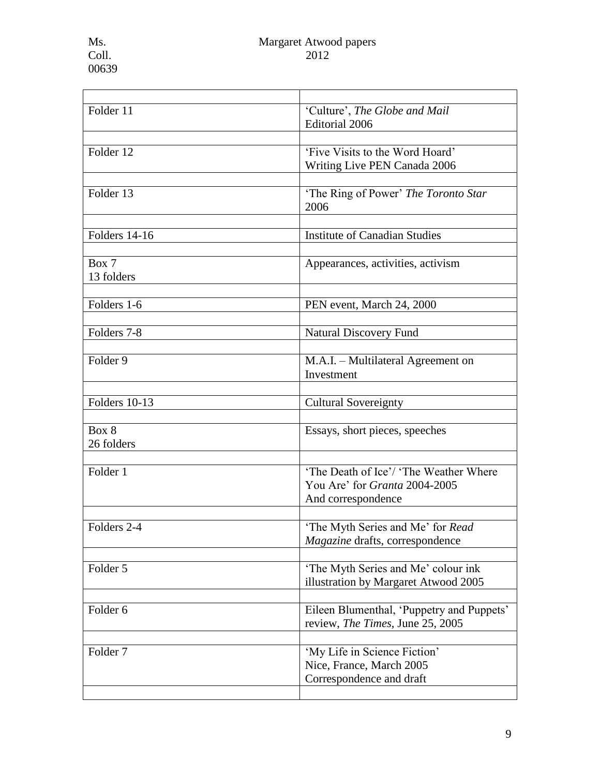l.

| Folder 11           | 'Culture', The Globe and Mail<br>Editorial 2006                 |
|---------------------|-----------------------------------------------------------------|
|                     |                                                                 |
| Folder 12           | 'Five Visits to the Word Hoard'<br>Writing Live PEN Canada 2006 |
|                     |                                                                 |
| Folder 13           | 'The Ring of Power' The Toronto Star<br>2006                    |
|                     |                                                                 |
| Folders 14-16       | <b>Institute of Canadian Studies</b>                            |
| Box 7               | Appearances, activities, activism                               |
| 13 folders          |                                                                 |
|                     |                                                                 |
| Folders 1-6         | PEN event, March 24, 2000                                       |
|                     |                                                                 |
| Folders 7-8         | <b>Natural Discovery Fund</b>                                   |
|                     |                                                                 |
| Folder <sub>9</sub> | M.A.I. - Multilateral Agreement on                              |
|                     | Investment                                                      |
|                     |                                                                 |
| Folders 10-13       | <b>Cultural Sovereignty</b>                                     |
| Box 8               |                                                                 |
| 26 folders          | Essays, short pieces, speeches                                  |
|                     |                                                                 |
| Folder 1            | 'The Death of Ice'/ 'The Weather Where'                         |
|                     | You Are' for Granta 2004-2005                                   |
|                     | And correspondence                                              |
|                     |                                                                 |
| Folders 2-4         | 'The Myth Series and Me' for Read                               |
|                     | Magazine drafts, correspondence                                 |
|                     |                                                                 |
| Folder 5            | 'The Myth Series and Me' colour ink                             |
|                     | illustration by Margaret Atwood 2005                            |
|                     |                                                                 |
| Folder 6            | Eileen Blumenthal, 'Puppetry and Puppets'                       |
|                     | review, The Times, June 25, 2005                                |
|                     |                                                                 |
| Folder <sub>7</sub> | 'My Life in Science Fiction'                                    |
|                     | Nice, France, March 2005                                        |
|                     | Correspondence and draft                                        |
|                     |                                                                 |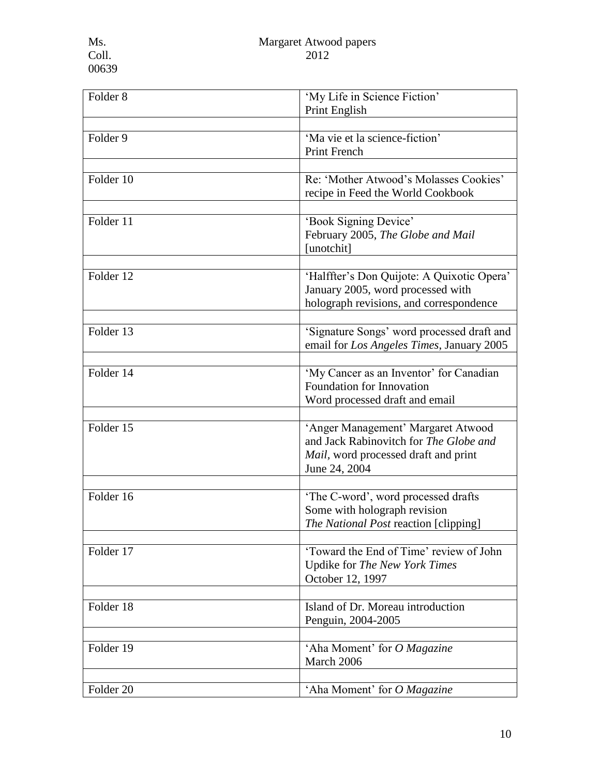| Folder <sub>8</sub> | 'My Life in Science Fiction'<br>Print English                                                                                         |
|---------------------|---------------------------------------------------------------------------------------------------------------------------------------|
|                     |                                                                                                                                       |
| Folder 9            | 'Ma vie et la science-fiction'<br><b>Print French</b>                                                                                 |
|                     |                                                                                                                                       |
| Folder 10           | Re: 'Mother Atwood's Molasses Cookies'<br>recipe in Feed the World Cookbook                                                           |
| Folder 11           | 'Book Signing Device'<br>February 2005, The Globe and Mail<br>[unotchit]                                                              |
| Folder $12$         | 'Halffter's Don Quijote: A Quixotic Opera'<br>January 2005, word processed with<br>holograph revisions, and correspondence            |
| Folder 13           | 'Signature Songs' word processed draft and<br>email for Los Angeles Times, January 2005                                               |
| Folder 14           | 'My Cancer as an Inventor' for Canadian<br>Foundation for Innovation<br>Word processed draft and email                                |
| Folder 15           | 'Anger Management' Margaret Atwood<br>and Jack Rabinovitch for The Globe and<br>Mail, word processed draft and print<br>June 24, 2004 |
| Folder 16           | 'The C-word', word processed drafts<br>Some with holograph revision<br>The National Post reaction [clipping]                          |
| Folder 17           | 'Toward the End of Time' review of John<br>Updike for The New York Times<br>October 12, 1997                                          |
| Folder 18           | Island of Dr. Moreau introduction<br>Penguin, 2004-2005                                                                               |
| Folder 19           | 'Aha Moment' for O Magazine<br>March 2006                                                                                             |
| Folder 20           | 'Aha Moment' for O Magazine                                                                                                           |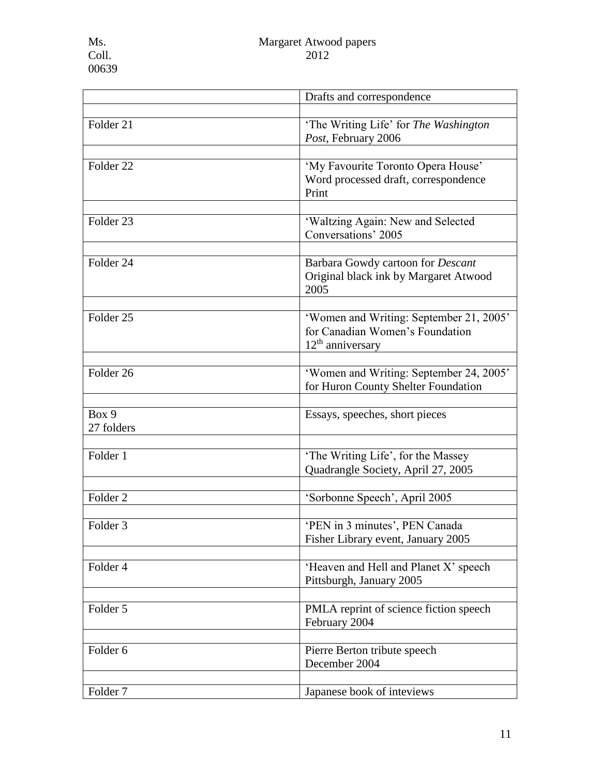l.

|                      | Drafts and correspondence                                                                        |
|----------------------|--------------------------------------------------------------------------------------------------|
|                      |                                                                                                  |
| Folder 21            | 'The Writing Life' for The Washington<br>Post, February 2006                                     |
|                      |                                                                                                  |
| Folder <sub>22</sub> | 'My Favourite Toronto Opera House'<br>Word processed draft, correspondence<br>Print              |
| Folder <sub>23</sub> | 'Waltzing Again: New and Selected<br>Conversations' 2005                                         |
| Folder 24            | Barbara Gowdy cartoon for <i>Descant</i><br>Original black ink by Margaret Atwood<br>2005        |
| Folder <sub>25</sub> | 'Women and Writing: September 21, 2005'<br>for Canadian Women's Foundation<br>$12th$ anniversary |
| Folder <sub>26</sub> | 'Women and Writing: September 24, 2005'<br>for Huron County Shelter Foundation                   |
| Box 9<br>27 folders  | Essays, speeches, short pieces                                                                   |
| Folder 1             | 'The Writing Life', for the Massey<br>Quadrangle Society, April 27, 2005                         |
| Folder <sub>2</sub>  | 'Sorbonne Speech', April 2005                                                                    |
| Folder <sub>3</sub>  | 'PEN in 3 minutes', PEN Canada<br>Fisher Library event, January 2005                             |
| Folder 4             | 'Heaven and Hell and Planet X' speech<br>Pittsburgh, January 2005                                |
| Folder 5             | PMLA reprint of science fiction speech<br>February 2004                                          |
| Folder 6             | Pierre Berton tribute speech<br>December 2004                                                    |
| Folder <sub>7</sub>  | Japanese book of inteviews                                                                       |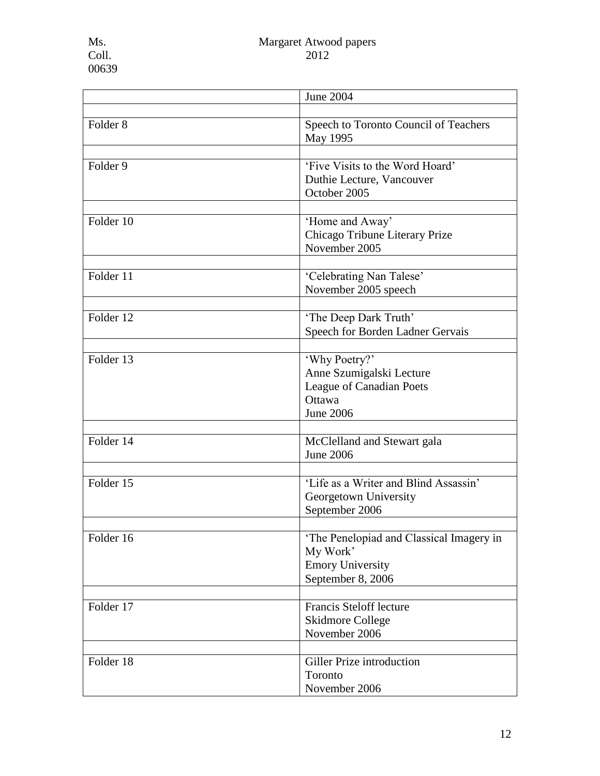|                     | <b>June 2004</b>                                                                                    |
|---------------------|-----------------------------------------------------------------------------------------------------|
| Folder <sub>8</sub> | Speech to Toronto Council of Teachers<br>May 1995                                                   |
| Folder 9            | 'Five Visits to the Word Hoard'<br>Duthie Lecture, Vancouver<br>October 2005                        |
| Folder 10           | 'Home and Away'<br>Chicago Tribune Literary Prize<br>November 2005                                  |
| Folder $11$         | 'Celebrating Nan Talese'<br>November 2005 speech                                                    |
| Folder 12           | 'The Deep Dark Truth'<br>Speech for Borden Ladner Gervais                                           |
| Folder 13           | 'Why Poetry?'<br>Anne Szumigalski Lecture<br>League of Canadian Poets<br>Ottawa<br><b>June 2006</b> |
| Folder 14           | McClelland and Stewart gala<br><b>June 2006</b>                                                     |
| Folder 15           | 'Life as a Writer and Blind Assassin'<br>Georgetown University<br>September 2006                    |
| Folder 16           | The Penelopiad and Classical Imagery in<br>My Work'<br><b>Emory University</b><br>September 8, 2006 |
| Folder 17           | Francis Steloff lecture<br>Skidmore College<br>November 2006                                        |
| Folder 18           | Giller Prize introduction<br>Toronto<br>November 2006                                               |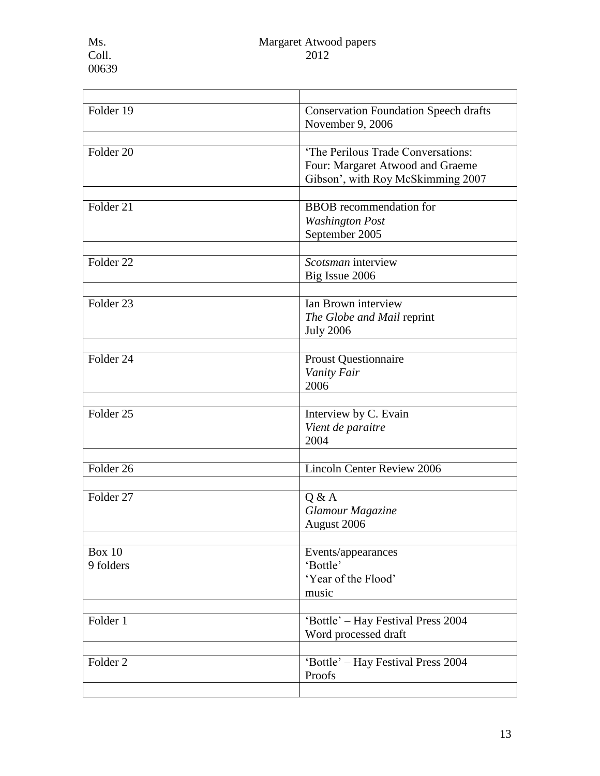| <b>Conservation Foundation Speech drafts</b><br>November 9, 2006<br>'The Perilous Trade Conversations:<br>Four: Margaret Atwood and Graeme |
|--------------------------------------------------------------------------------------------------------------------------------------------|
|                                                                                                                                            |
| Gibson', with Roy McSkimming 2007                                                                                                          |
| <b>BBOB</b> recommendation for<br><b>Washington Post</b><br>September 2005                                                                 |
| Scotsman interview<br>Big Issue 2006                                                                                                       |
| Ian Brown interview<br>The Globe and Mail reprint<br><b>July 2006</b>                                                                      |
| <b>Proust Questionnaire</b><br>Vanity Fair<br>2006                                                                                         |
| Interview by C. Evain<br>Vient de paraitre<br>2004                                                                                         |
| Lincoln Center Review 2006                                                                                                                 |
| Q & A<br>Glamour Magazine<br>August 2006                                                                                                   |
| Events/appearances<br>'Bottle'<br>'Year of the Flood'<br>music                                                                             |
| 'Bottle' - Hay Festival Press 2004<br>Word processed draft                                                                                 |
| 'Bottle' - Hay Festival Press 2004<br>Proofs                                                                                               |
|                                                                                                                                            |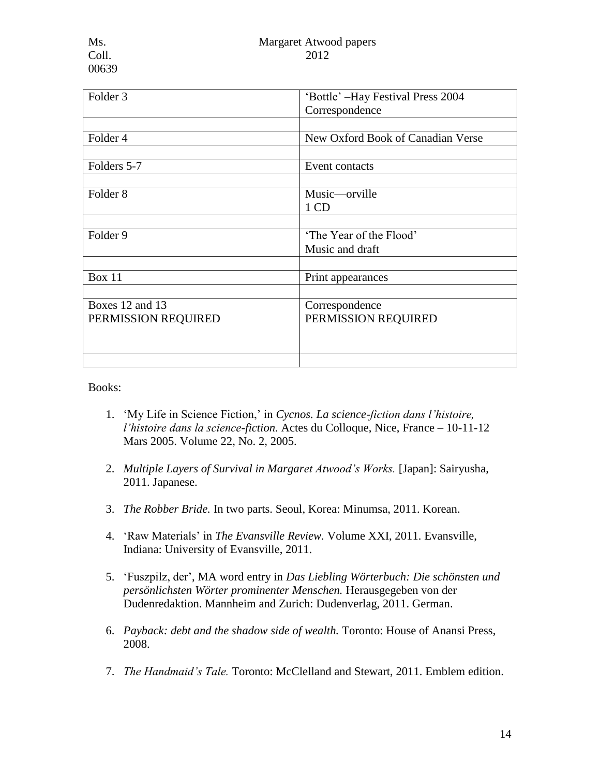00639

| Folder 3            | 'Bottle' -Hay Festival Press 2004 |
|---------------------|-----------------------------------|
|                     | Correspondence                    |
|                     |                                   |
| Folder 4            | New Oxford Book of Canadian Verse |
|                     |                                   |
| Folders 5-7         | Event contacts                    |
|                     |                                   |
| Folder <sub>8</sub> | Music—orville                     |
|                     | 1 CD                              |
|                     |                                   |
| Folder 9            | 'The Year of the Flood'           |
|                     | Music and draft                   |
|                     |                                   |
| <b>Box 11</b>       | Print appearances                 |
|                     |                                   |
| Boxes 12 and 13     | Correspondence                    |
| PERMISSION REQUIRED | PERMISSION REQUIRED               |
|                     |                                   |
|                     |                                   |
|                     |                                   |

Books:

- 1. 'My Life in Science Fiction,' in *Cycnos. La science-fiction dans l'histoire, l'histoire dans la science-fiction.* Actes du Colloque, Nice, France – 10-11-12 Mars 2005. Volume 22, No. 2, 2005.
- 2. *Multiple Layers of Survival in Margaret Atwood's Works.* [Japan]: Sairyusha, 2011. Japanese.
- 3. *The Robber Bride.* In two parts. Seoul, Korea: Minumsa, 2011. Korean.
- 4. 'Raw Materials' in *The Evansville Review.* Volume XXI, 2011. Evansville, Indiana: University of Evansville, 2011.
- 5. 'Fuszpilz, der', MA word entry in *Das Liebling Wörterbuch: Die schönsten und persönlichsten Wörter prominenter Menschen.* Herausgegeben von der Dudenredaktion. Mannheim and Zurich: Dudenverlag, 2011. German.
- 6. *Payback: debt and the shadow side of wealth.* Toronto: House of Anansi Press, 2008.
- 7. *The Handmaid's Tale.* Toronto: McClelland and Stewart, 2011. Emblem edition.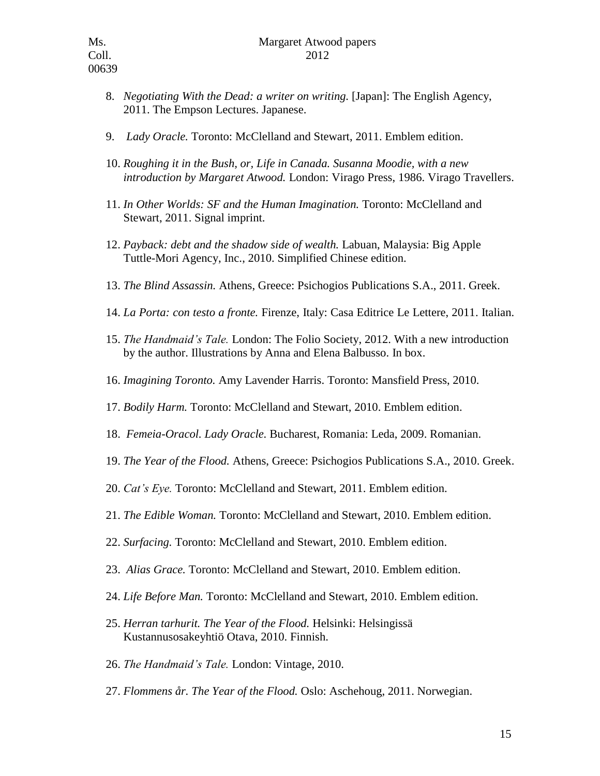- 8. *Negotiating With the Dead: a writer on writing.* [Japan]: The English Agency, 2011. The Empson Lectures. Japanese.
- 9. *Lady Oracle.* Toronto: McClelland and Stewart, 2011. Emblem edition.
- 10. *Roughing it in the Bush, or, Life in Canada. Susanna Moodie, with a new introduction by Margaret Atwood.* London: Virago Press, 1986. Virago Travellers.
- 11. *In Other Worlds: SF and the Human Imagination.* Toronto: McClelland and Stewart, 2011. Signal imprint.
- 12. *Payback: debt and the shadow side of wealth.* Labuan, Malaysia: Big Apple Tuttle-Mori Agency, Inc., 2010. Simplified Chinese edition.
- 13. *The Blind Assassin.* Athens, Greece: Psichogios Publications S.A., 2011. Greek.
- 14. *La Porta: con testo a fronte.* Firenze, Italy: Casa Editrice Le Lettere, 2011. Italian.
- 15. *The Handmaid's Tale.* London: The Folio Society, 2012. With a new introduction by the author. Illustrations by Anna and Elena Balbusso. In box.
- 16. *Imagining Toronto.* Amy Lavender Harris. Toronto: Mansfield Press, 2010.
- 17. *Bodily Harm.* Toronto: McClelland and Stewart, 2010. Emblem edition.
- 18. *Femeia-Oracol. Lady Oracle.* Bucharest, Romania: Leda, 2009. Romanian.
- 19. *The Year of the Flood.* Athens, Greece: Psichogios Publications S.A., 2010. Greek.
- 20. *Cat's Eye.* Toronto: McClelland and Stewart, 2011. Emblem edition.
- 21. *The Edible Woman.* Toronto: McClelland and Stewart, 2010. Emblem edition.
- 22. *Surfacing.* Toronto: McClelland and Stewart, 2010. Emblem edition.
- 23. *Alias Grace.* Toronto: McClelland and Stewart, 2010. Emblem edition.
- 24. *Life Before Man.* Toronto: McClelland and Stewart, 2010. Emblem edition.
- 25. *Herran tarhurit. The Year of the Flood.* Helsinki: Helsingissä Kustannusosakeyhtiö Otava, 2010. Finnish.
- 26. *The Handmaid's Tale.* London: Vintage, 2010.
- 27. *Flommens år. The Year of the Flood.* Oslo: Aschehoug, 2011. Norwegian.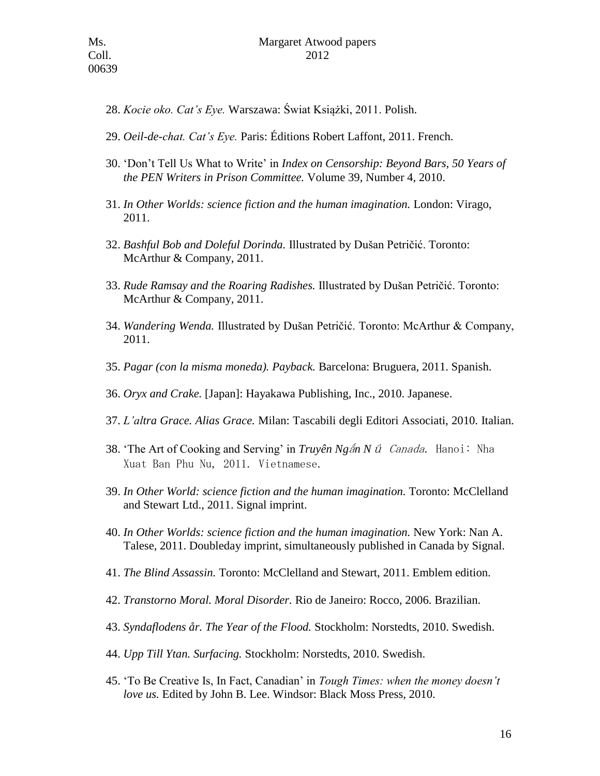- 28. *Kocie oko. Cat's Eye.* Warszawa: Świat Książki, 2011. Polish.
- 29. *Oeil-de-chat. Cat's Eye.* Paris: Éditions Robert Laffont, 2011. French.
- 30. 'Don't Tell Us What to Write' in *Index on Censorship: Beyond Bars, 50 Years of the PEN Writers in Prison Committee.* Volume 39, Number 4, 2010.
- 31. *In Other Worlds: science fiction and the human imagination.* London: Virago, 2011.
- 32. *Bashful Bob and Doleful Dorinda.* Illustrated by Dušan Petričić. Toronto: McArthur & Company, 2011.
- 33. *Rude Ramsay and the Roaring Radishes.* Illustrated by Dušan Petričić. Toronto: McArthur & Company, 2011.
- 34. *Wandering Wenda.* Illustrated by Dušan Petričić. Toronto: McArthur & Company, 2011.
- 35. *Pagar (con la misma moneda). Payback.* Barcelona: Bruguera, 2011. Spanish.
- 36. *Oryx and Crake.* [Japan]: Hayakawa Publishing, Inc., 2010. Japanese.
- 37. *L'altra Grace. Alias Grace.* Milan: Tascabili degli Editori Associati, 2010. Italian.
- 38. 'The Art of Cooking and Serving' in *Truyên Ng*ǻ*n N*ǘ Canada. Hanoi: Nha Xuat Ban Phu Nu, 2011. Vietnamese.
- 39. *In Other World: science fiction and the human imagination.* Toronto: McClelland and Stewart Ltd., 2011. Signal imprint.
- 40. *In Other Worlds: science fiction and the human imagination.* New York: Nan A. Talese, 2011. Doubleday imprint, simultaneously published in Canada by Signal.
- 41. *The Blind Assassin.* Toronto: McClelland and Stewart, 2011. Emblem edition.
- 42. *Transtorno Moral. Moral Disorder.* Rio de Janeiro: Rocco, 2006. Brazilian.
- 43. *Syndaflodens år. The Year of the Flood.* Stockholm: Norstedts, 2010. Swedish.
- 44. *Upp Till Ytan. Surfacing.* Stockholm: Norstedts, 2010. Swedish.
- 45. 'To Be Creative Is, In Fact, Canadian' in *Tough Times: when the money doesn't love us.* Edited by John B. Lee. Windsor: Black Moss Press, 2010.